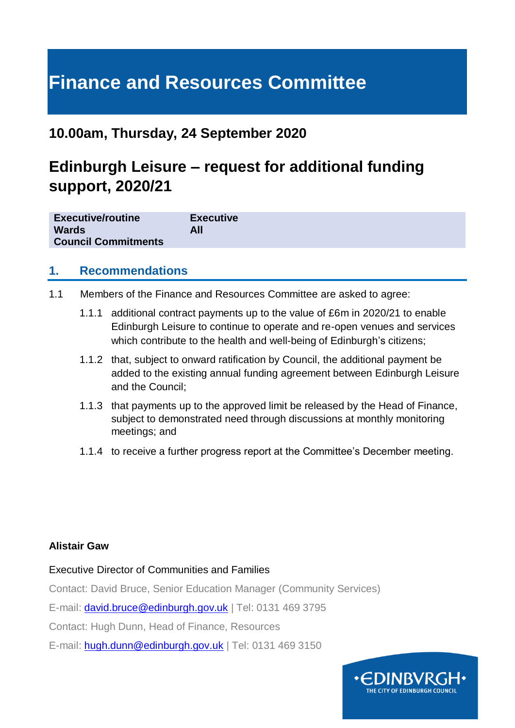# **Finance and Resources Committee**

# **10.00am, Thursday, 24 September 2020**

# **Edinburgh Leisure – request for additional funding support, 2020/21**

| <b>Executive/routine</b>   | <b>Executive</b> |  |
|----------------------------|------------------|--|
| <b>Wards</b>               | <b>All</b>       |  |
| <b>Council Commitments</b> |                  |  |

## **1. Recommendations**

- 1.1 Members of the Finance and Resources Committee are asked to agree:
	- 1.1.1 additional contract payments up to the value of £6m in 2020/21 to enable Edinburgh Leisure to continue to operate and re-open venues and services which contribute to the health and well-being of Edinburgh's citizens;
	- 1.1.2 that, subject to onward ratification by Council, the additional payment be added to the existing annual funding agreement between Edinburgh Leisure and the Council;
	- 1.1.3 that payments up to the approved limit be released by the Head of Finance, subject to demonstrated need through discussions at monthly monitoring meetings; and
	- 1.1.4 to receive a further progress report at the Committee's December meeting.

#### **Alistair Gaw**

#### Executive Director of Communities and Families

Contact: David Bruce, Senior Education Manager (Community Services)

E-mail: [david.bruce@edinburgh.gov.uk](mailto:david.bruce@edinburgh.gov.uk) | Tel: 0131 469 3795

Contact: Hugh Dunn, Head of Finance, Resources

E-mail: [hugh.dunn@edinburgh.gov.uk](mailto:hugh.dunn@edinburgh.gov.uk) | Tel: 0131 469 3150

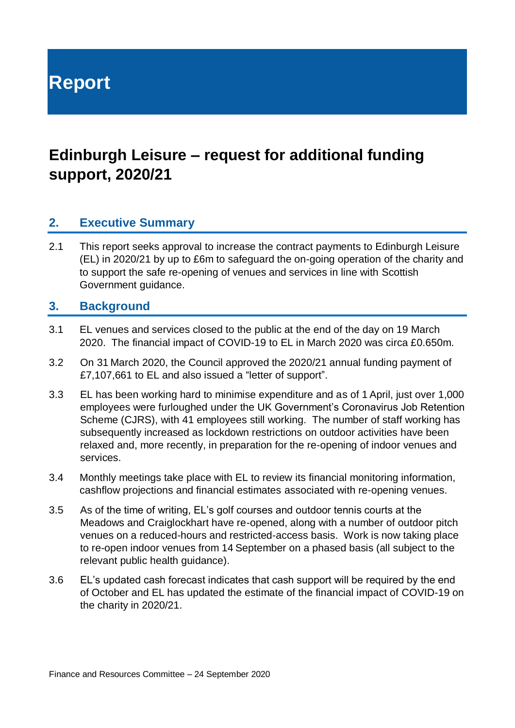**Report**

# **Edinburgh Leisure – request for additional funding support, 2020/21**

## **2. Executive Summary**

2.1 This report seeks approval to increase the contract payments to Edinburgh Leisure (EL) in 2020/21 by up to £6m to safeguard the on-going operation of the charity and to support the safe re-opening of venues and services in line with Scottish Government guidance.

#### **3. Background**

- 3.1 EL venues and services closed to the public at the end of the day on 19 March 2020. The financial impact of COVID-19 to EL in March 2020 was circa £0.650m.
- 3.2 On 31 March 2020, the Council approved the 2020/21 annual funding payment of £7,107,661 to EL and also issued a "letter of support".
- 3.3 EL has been working hard to minimise expenditure and as of 1 April, just over 1,000 employees were furloughed under the UK Government's Coronavirus Job Retention Scheme (CJRS), with 41 employees still working. The number of staff working has subsequently increased as lockdown restrictions on outdoor activities have been relaxed and, more recently, in preparation for the re-opening of indoor venues and services.
- 3.4 Monthly meetings take place with EL to review its financial monitoring information, cashflow projections and financial estimates associated with re-opening venues.
- 3.5 As of the time of writing, EL's golf courses and outdoor tennis courts at the Meadows and Craiglockhart have re-opened, along with a number of outdoor pitch venues on a reduced-hours and restricted-access basis. Work is now taking place to re-open indoor venues from 14 September on a phased basis (all subject to the relevant public health guidance).
- 3.6 EL's updated cash forecast indicates that cash support will be required by the end of October and EL has updated the estimate of the financial impact of COVID-19 on the charity in 2020/21.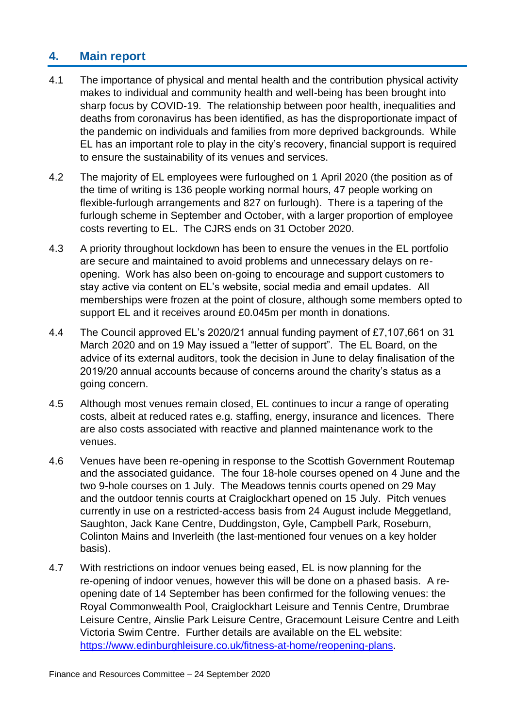# **4. Main report**

- 4.1 The importance of physical and mental health and the contribution physical activity makes to individual and community health and well-being has been brought into sharp focus by COVID-19. The relationship between poor health, inequalities and deaths from coronavirus has been identified, as has the disproportionate impact of the pandemic on individuals and families from more deprived backgrounds. While EL has an important role to play in the city's recovery, financial support is required to ensure the sustainability of its venues and services.
- 4.2 The majority of EL employees were furloughed on 1 April 2020 (the position as of the time of writing is 136 people working normal hours, 47 people working on flexible-furlough arrangements and 827 on furlough). There is a tapering of the furlough scheme in September and October, with a larger proportion of employee costs reverting to EL. The CJRS ends on 31 October 2020.
- 4.3 A priority throughout lockdown has been to ensure the venues in the EL portfolio are secure and maintained to avoid problems and unnecessary delays on reopening. Work has also been on-going to encourage and support customers to stay active via content on EL's website, social media and email updates. All memberships were frozen at the point of closure, although some members opted to support EL and it receives around £0.045m per month in donations.
- 4.4 The Council approved EL's 2020/21 annual funding payment of £7,107,661 on 31 March 2020 and on 19 May issued a "letter of support". The EL Board, on the advice of its external auditors, took the decision in June to delay finalisation of the 2019/20 annual accounts because of concerns around the charity's status as a going concern.
- 4.5 Although most venues remain closed, EL continues to incur a range of operating costs, albeit at reduced rates e.g. staffing, energy, insurance and licences. There are also costs associated with reactive and planned maintenance work to the venues.
- 4.6 Venues have been re-opening in response to the Scottish Government Routemap and the associated guidance. The four 18-hole courses opened on 4 June and the two 9-hole courses on 1 July. The Meadows tennis courts opened on 29 May and the outdoor tennis courts at Craiglockhart opened on 15 July. Pitch venues currently in use on a restricted-access basis from 24 August include Meggetland, Saughton, Jack Kane Centre, Duddingston, Gyle, Campbell Park, Roseburn, Colinton Mains and Inverleith (the last-mentioned four venues on a key holder basis).
- 4.7 With restrictions on indoor venues being eased, EL is now planning for the re-opening of indoor venues, however this will be done on a phased basis. A reopening date of 14 September has been confirmed for the following venues: the Royal Commonwealth Pool, Craiglockhart Leisure and Tennis Centre, Drumbrae Leisure Centre, Ainslie Park Leisure Centre, Gracemount Leisure Centre and Leith Victoria Swim Centre. Further details are available on the EL website: [https://www.edinburghleisure.co.uk/fitness-at-home/reopening-plans.](https://www.edinburghleisure.co.uk/fitness-at-home/reopening-plans)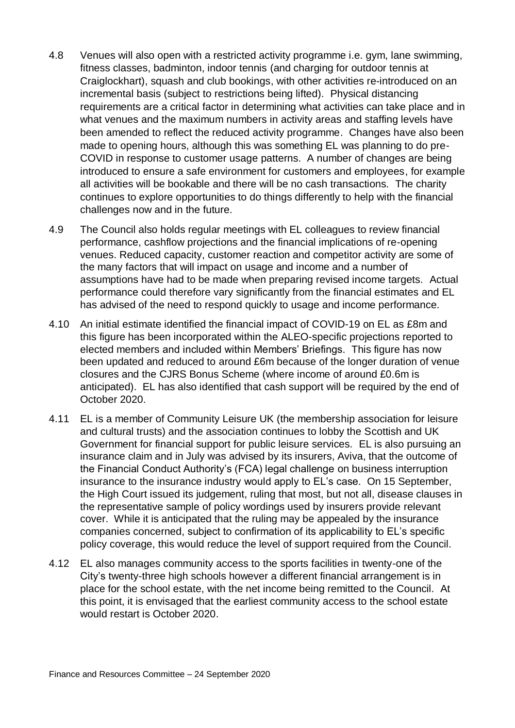- 4.8 Venues will also open with a restricted activity programme i.e. gym, lane swimming, fitness classes, badminton, indoor tennis (and charging for outdoor tennis at Craiglockhart), squash and club bookings, with other activities re-introduced on an incremental basis (subject to restrictions being lifted). Physical distancing requirements are a critical factor in determining what activities can take place and in what venues and the maximum numbers in activity areas and staffing levels have been amended to reflect the reduced activity programme. Changes have also been made to opening hours, although this was something EL was planning to do pre-COVID in response to customer usage patterns. A number of changes are being introduced to ensure a safe environment for customers and employees, for example all activities will be bookable and there will be no cash transactions. The charity continues to explore opportunities to do things differently to help with the financial challenges now and in the future.
- 4.9 The Council also holds regular meetings with EL colleagues to review financial performance, cashflow projections and the financial implications of re-opening venues. Reduced capacity, customer reaction and competitor activity are some of the many factors that will impact on usage and income and a number of assumptions have had to be made when preparing revised income targets. Actual performance could therefore vary significantly from the financial estimates and EL has advised of the need to respond quickly to usage and income performance.
- 4.10 An initial estimate identified the financial impact of COVID-19 on EL as £8m and this figure has been incorporated within the ALEO-specific projections reported to elected members and included within Members' Briefings. This figure has now been updated and reduced to around £6m because of the longer duration of venue closures and the CJRS Bonus Scheme (where income of around £0.6m is anticipated). EL has also identified that cash support will be required by the end of October 2020.
- 4.11 EL is a member of Community Leisure UK (the membership association for leisure and cultural trusts) and the association continues to lobby the Scottish and UK Government for financial support for public leisure services. EL is also pursuing an insurance claim and in July was advised by its insurers, Aviva, that the outcome of the Financial Conduct Authority's (FCA) legal challenge on business interruption insurance to the insurance industry would apply to EL's case. On 15 September, the High Court issued its judgement, ruling that most, but not all, disease clauses in the representative sample of policy wordings used by insurers provide relevant cover. While it is anticipated that the ruling may be appealed by the insurance companies concerned, subject to confirmation of its applicability to EL's specific policy coverage, this would reduce the level of support required from the Council.
- 4.12 EL also manages community access to the sports facilities in twenty-one of the City's twenty-three high schools however a different financial arrangement is in place for the school estate, with the net income being remitted to the Council. At this point, it is envisaged that the earliest community access to the school estate would restart is October 2020.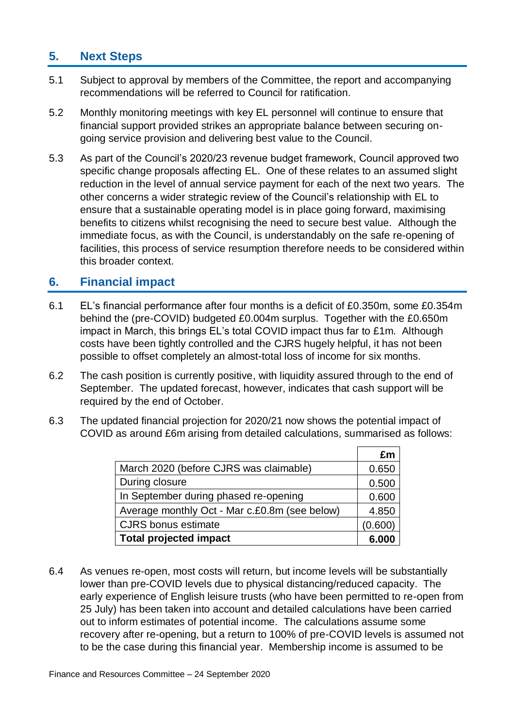# **5. Next Steps**

- 5.1 Subject to approval by members of the Committee, the report and accompanying recommendations will be referred to Council for ratification.
- 5.2 Monthly monitoring meetings with key EL personnel will continue to ensure that financial support provided strikes an appropriate balance between securing ongoing service provision and delivering best value to the Council.
- 5.3 As part of the Council's 2020/23 revenue budget framework, Council approved two specific change proposals affecting EL. One of these relates to an assumed slight reduction in the level of annual service payment for each of the next two years. The other concerns a wider strategic review of the Council's relationship with EL to ensure that a sustainable operating model is in place going forward, maximising benefits to citizens whilst recognising the need to secure best value. Although the immediate focus, as with the Council, is understandably on the safe re-opening of facilities, this process of service resumption therefore needs to be considered within this broader context.

## **6. Financial impact**

- 6.1 EL's financial performance after four months is a deficit of £0.350m, some £0.354m behind the (pre-COVID) budgeted £0.004m surplus. Together with the £0.650m impact in March, this brings EL's total COVID impact thus far to £1m. Although costs have been tightly controlled and the CJRS hugely helpful, it has not been possible to offset completely an almost-total loss of income for six months.
- 6.2 The cash position is currently positive, with liquidity assured through to the end of September. The updated forecast, however, indicates that cash support will be required by the end of October.
- 6.3 The updated financial projection for 2020/21 now shows the potential impact of COVID as around £6m arising from detailed calculations, summarised as follows:

|                                               | £m      |
|-----------------------------------------------|---------|
| March 2020 (before CJRS was claimable)        | 0.650   |
| During closure                                | 0.500   |
| In September during phased re-opening         | 0.600   |
| Average monthly Oct - Mar c.£0.8m (see below) | 4.850   |
| <b>CJRS</b> bonus estimate                    | (0.600) |
| <b>Total projected impact</b>                 |         |

6.4 As venues re-open, most costs will return, but income levels will be substantially lower than pre-COVID levels due to physical distancing/reduced capacity. The early experience of English leisure trusts (who have been permitted to re-open from 25 July) has been taken into account and detailed calculations have been carried out to inform estimates of potential income. The calculations assume some recovery after re-opening, but a return to 100% of pre-COVID levels is assumed not to be the case during this financial year. Membership income is assumed to be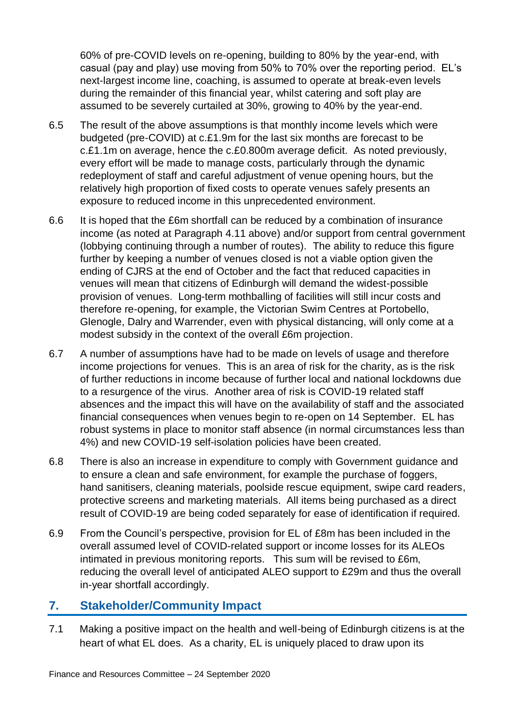60% of pre-COVID levels on re-opening, building to 80% by the year-end, with casual (pay and play) use moving from 50% to 70% over the reporting period. EL's next-largest income line, coaching, is assumed to operate at break-even levels during the remainder of this financial year, whilst catering and soft play are assumed to be severely curtailed at 30%, growing to 40% by the year-end.

- 6.5 The result of the above assumptions is that monthly income levels which were budgeted (pre-COVID) at c.£1.9m for the last six months are forecast to be c.£1.1m on average, hence the c.£0.800m average deficit. As noted previously, every effort will be made to manage costs, particularly through the dynamic redeployment of staff and careful adjustment of venue opening hours, but the relatively high proportion of fixed costs to operate venues safely presents an exposure to reduced income in this unprecedented environment.
- 6.6 It is hoped that the £6m shortfall can be reduced by a combination of insurance income (as noted at Paragraph 4.11 above) and/or support from central government (lobbying continuing through a number of routes). The ability to reduce this figure further by keeping a number of venues closed is not a viable option given the ending of CJRS at the end of October and the fact that reduced capacities in venues will mean that citizens of Edinburgh will demand the widest-possible provision of venues. Long-term mothballing of facilities will still incur costs and therefore re-opening, for example, the Victorian Swim Centres at Portobello, Glenogle, Dalry and Warrender, even with physical distancing, will only come at a modest subsidy in the context of the overall £6m projection.
- 6.7 A number of assumptions have had to be made on levels of usage and therefore income projections for venues. This is an area of risk for the charity, as is the risk of further reductions in income because of further local and national lockdowns due to a resurgence of the virus. Another area of risk is COVID-19 related staff absences and the impact this will have on the availability of staff and the associated financial consequences when venues begin to re-open on 14 September. EL has robust systems in place to monitor staff absence (in normal circumstances less than 4%) and new COVID-19 self-isolation policies have been created.
- 6.8 There is also an increase in expenditure to comply with Government guidance and to ensure a clean and safe environment, for example the purchase of foggers, hand sanitisers, cleaning materials, poolside rescue equipment, swipe card readers, protective screens and marketing materials. All items being purchased as a direct result of COVID-19 are being coded separately for ease of identification if required.
- 6.9 From the Council's perspective, provision for EL of £8m has been included in the overall assumed level of COVID-related support or income losses for its ALEOs intimated in previous monitoring reports. This sum will be revised to £6m, reducing the overall level of anticipated ALEO support to £29m and thus the overall in-year shortfall accordingly.

#### **7. Stakeholder/Community Impact**

7.1 Making a positive impact on the health and well-being of Edinburgh citizens is at the heart of what EL does. As a charity, EL is uniquely placed to draw upon its